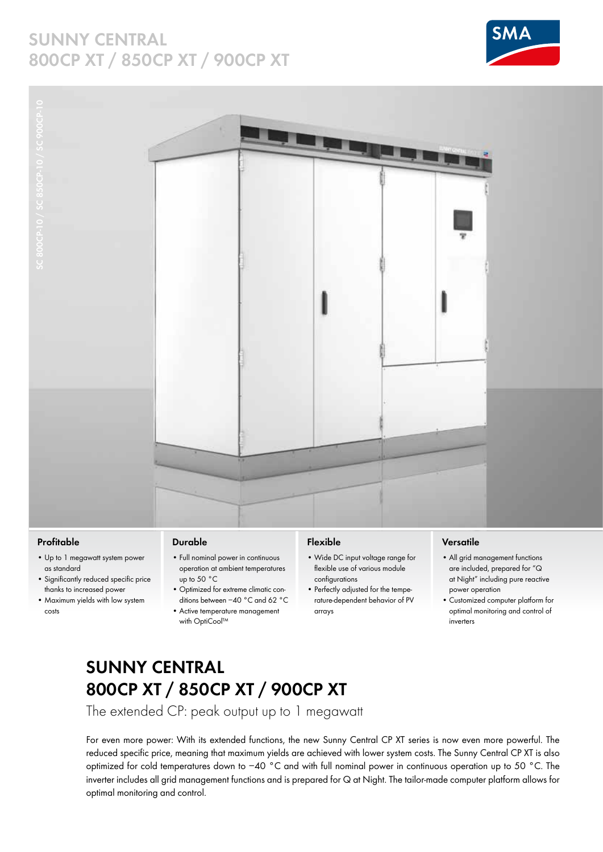## **SUNNY CENTRAL 800CP XT / 850CP XT / 900CP XT**





#### **Profitable**

- Up to 1 megawatt system power as standard
- Significantly reduced specific price thanks to increased power
- Maximum yields with low system costs

#### **Durable**

- Full nominal power in continuous operation at ambient temperatures up to 50 °C
- Optimized for extreme climatic conditions between −40 °C and 62 °C
- Active temperature management with OptiCool™

### **Flexible**

- Wide DC input voltage range for flexible use of various module configurations
- Perfectly adjusted for the temperature-dependent behavior of PV arrays

#### **Versatile**

- All grid management functions are included, prepared for "Q at Night" including pure reactive power operation
- Customized computer platform for optimal monitoring and control of inverters

## **Sunny Central 800CP XT / 850CP XT / 900CP XT**

The extended CP: peak output up to 1 megawatt

For even more power: With its extended functions, the new Sunny Central CP XT series is now even more powerful. The reduced specific price, meaning that maximum yields are achieved with lower system costs. The Sunny Central CP XT is also optimized for cold temperatures down to −40 °C and with full nominal power in continuous operation up to 50 °C. The inverter includes all grid management functions and is prepared for Q at Night. The tailor-made computer platform allows for optimal monitoring and control.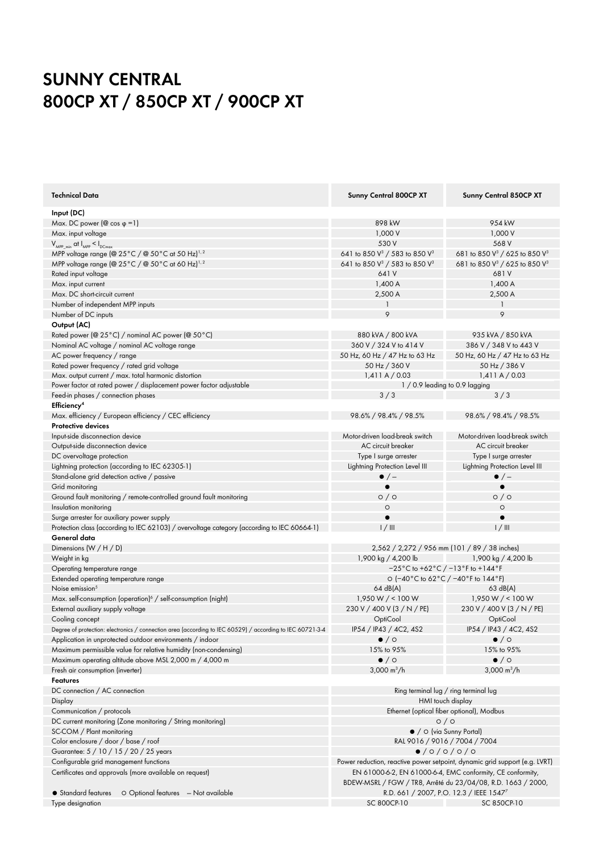# **Sunny Central 800CP XT / 850CP XT / 900CP XT**

| <b>Technical Data</b>                                                                                                        | <b>Sunny Central 800CP XT</b>                                              | <b>Sunny Central 850CP XT</b>                         |
|------------------------------------------------------------------------------------------------------------------------------|----------------------------------------------------------------------------|-------------------------------------------------------|
| Input (DC)                                                                                                                   |                                                                            |                                                       |
| Max. DC power ( $@$ cos $\varphi = 1$ )                                                                                      | 898 kW                                                                     | 954 kW                                                |
| Max. input voltage                                                                                                           | 1,000 V                                                                    | 1,000 V                                               |
| $V_{MPP,min}$ at $I_{MPP} < I_{DCmax}$                                                                                       | 530 V                                                                      | 568 V                                                 |
| MPP voltage range (@ $25^{\circ}$ C / @ $50^{\circ}$ C at 50 Hz) <sup>1, 2</sup>                                             | 641 to 850 V <sup>3</sup> / 583 to 850 V <sup>3</sup>                      | 681 to 850 V <sup>3</sup> / 625 to 850 V <sup>3</sup> |
| MPP voltage range (@ 25°C / @ 50°C at 60 Hz) <sup>1,2</sup>                                                                  | 641 to 850 V <sup>3</sup> / 583 to 850 V <sup>3</sup>                      | 681 to 850 V <sup>3</sup> / 625 to 850 V <sup>3</sup> |
| Rated input voltage                                                                                                          | 641 V                                                                      | 681V                                                  |
| Max. input current                                                                                                           | 1,400A                                                                     | 1,400A                                                |
| Max. DC short-circuit current                                                                                                | 2,500 A                                                                    | 2,500 A                                               |
| Number of independent MPP inputs                                                                                             |                                                                            | 1                                                     |
|                                                                                                                              | 9                                                                          | 9                                                     |
| Number of DC inputs                                                                                                          |                                                                            |                                                       |
| Output (AC)                                                                                                                  |                                                                            |                                                       |
| Rated power (@ 25°C) / nominal AC power (@ 50°C)                                                                             | 880 kVA / 800 kVA                                                          | 935 kVA / 850 kVA                                     |
| Nominal AC voltage / nominal AC voltage range                                                                                | 360 V / 324 V to 414 V                                                     | 386 V / 348 V to 443 V                                |
| AC power frequency / range                                                                                                   | 50 Hz, 60 Hz / 47 Hz to 63 Hz                                              | 50 Hz, 60 Hz / 47 Hz to 63 Hz                         |
| Rated power frequency / rated grid voltage                                                                                   | 50 Hz / 360 V                                                              | 50 Hz / 386 V                                         |
| Max. output current / max. total harmonic distortion                                                                         | $1,411$ A $/$ 0.03                                                         | 1,411A/0.03                                           |
| Power factor at rated power / displacement power factor adjustable                                                           | 1 / 0.9 leading to 0.9 lagging                                             |                                                       |
| Feed-in phases / connection phases                                                                                           | 3/3                                                                        | 3/3                                                   |
| Efficiency <sup>4</sup>                                                                                                      |                                                                            |                                                       |
| Max. efficiency / European efficiency / CEC efficiency                                                                       | 98.6% / 98.4% / 98.5%                                                      | 98.6% / 98.4% / 98.5%                                 |
| Protective devices                                                                                                           |                                                                            |                                                       |
| Input-side disconnection device                                                                                              | Motor-driven load-break switch                                             | Motor-driven load-break switch                        |
| Output-side disconnection device                                                                                             | AC circuit breaker                                                         | AC circuit breaker                                    |
| DC overvoltage protection                                                                                                    | Type I surge arrester                                                      | Type I surge arrester                                 |
| Lightning protection (according to IEC 62305-1)                                                                              | Lightning Protection Level III                                             | Lightning Protection Level III                        |
| Stand-alone grid detection active / passive                                                                                  | $\bullet$ / $-$                                                            | $\bullet$ / $-$                                       |
| Grid monitoring                                                                                                              |                                                                            | $\bullet$                                             |
| Ground fault monitoring / remote-controlled ground fault monitoring                                                          | $\circ$ / $\circ$                                                          | $\circ$ / $\circ$                                     |
| Insulation monitoring                                                                                                        | $\circ$                                                                    | $\circ$                                               |
| Surge arrester for auxiliary power supply                                                                                    |                                                                            | $\bullet$                                             |
| Protection class (according to IEC 62103) / overvoltage category (according to IEC 60664-1)                                  | 1/111                                                                      | $1/$ III                                              |
| General data                                                                                                                 |                                                                            |                                                       |
| Dimensions $(W/H/D)$                                                                                                         |                                                                            | 2,562 / 2,272 / 956 mm (101 / 89 / 38 inches)         |
| Weight in kg                                                                                                                 | 1,900 kg $/ 4,200$ lb                                                      | 1,900 kg / 4,200 lb                                   |
| Operating temperature range                                                                                                  | $-25\degree$ C to +62 $\degree$ C / $-13\degree$ F to +144 $\degree$ F     |                                                       |
| Extended operating temperature range                                                                                         | O (-40°C to 62°C / -40°F to 144°F)                                         |                                                       |
| Noise emission <sup>5</sup>                                                                                                  | 64 dB(A)                                                                   | 63 dB(A)                                              |
| Max. self-consumption (operation) <sup>6</sup> / self-consumption (night)                                                    | 1,950 W / < 100 W                                                          | 1,950 W / < 100 W                                     |
| External auxiliary supply voltage                                                                                            | 230 V / 400 V (3 / N / PE)                                                 | 230 V / 400 V (3 / N / PE)                            |
|                                                                                                                              | OptiCool                                                                   |                                                       |
| Cooling concept<br>Degree of protection: electronics / connection area (according to IEC 60529) / according to IEC 60721-3-4 | IP54 / IP43 / 4C2, 4S2                                                     | OptiCool                                              |
|                                                                                                                              |                                                                            | IP54 / IP43 / 4C2, 4S2                                |
| Application in unprotected outdoor environments / indoor                                                                     | $\bullet$ / $\circ$                                                        | $\bullet$ / $\circ$                                   |
| Maximum permissible value for relative humidity (non-condensing)                                                             | 15% to 95%                                                                 | 15% to 95%                                            |
| Maximum operating altitude above MSL 2,000 m / 4,000 m                                                                       | $\bullet$ / $\circ$                                                        | $\bullet$ / $\circ$                                   |
| Fresh air consumption (inverter)                                                                                             | 3,000 $m^3/h$                                                              | $3,000 \text{ m}^3/\text{h}$                          |
| Features                                                                                                                     |                                                                            |                                                       |
| DC connection / AC connection                                                                                                | Ring terminal lug / ring terminal lug                                      |                                                       |
| Display                                                                                                                      | HMI touch display                                                          |                                                       |
| Communication / protocols                                                                                                    | Ethernet (optical fiber optional), Modbus                                  |                                                       |
| DC current monitoring (Zone monitoring / String monitoring)                                                                  | $\circ$ / $\circ$                                                          |                                                       |
| SC-COM / Plant monitoring                                                                                                    | • / O (via Sunny Portal)                                                   |                                                       |
| Color enclosure / door / base / roof                                                                                         | RAL 9016 / 9016 / 7004 / 7004                                              |                                                       |
| Guarantee: 5 / 10 / 15 / 20 / 25 years                                                                                       | 0/0/0/0/0                                                                  |                                                       |
| Configurable grid management functions                                                                                       | Power reduction, reactive power setpoint, dynamic grid support (e.g. LVRT) |                                                       |
| Certificates and approvals (more available on request)                                                                       | EN 61000-6-2, EN 61000-6-4, EMC conformity, CE conformity,                 |                                                       |
|                                                                                                                              | BDEW-MSRL / FGW / TR8, Arrêté du 23/04/08, R.D. 1663 / 2000,               |                                                       |
| O Optional features - Not available<br>• Standard features                                                                   |                                                                            | R.D. 661 / 2007, P.O. 12.3 / IEEE 1547 <sup>7</sup>   |
| Type designation                                                                                                             | SC 800CP-10                                                                | SC 850CP-10                                           |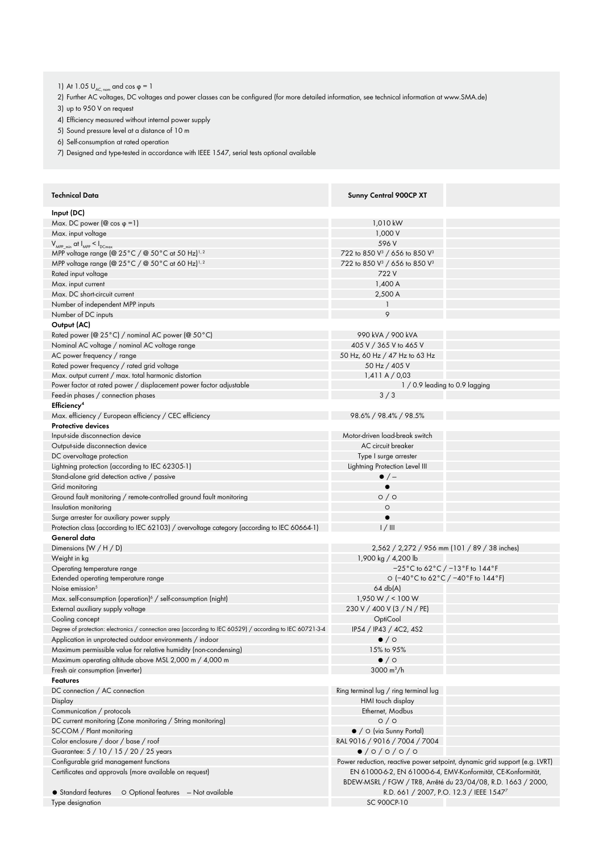1) At 1.05  $U_{AC, nom}$  and cos  $\varphi = 1$ 

2) Further AC voltages, DC voltages and power classes can be configured (for more detailed information, see technical information at www.SMA.de)

3) up to 950 V on request

4) Efficiency measured without internal power supply

5) Sound pressure level at a distance of 10 m

6) Self-consumption at rated operation

7) Designed and type-tested in accordance with IEEE 1547, serial tests optional available

| <b>Technical Data</b>                                                                                     | <b>Sunny Central 900CP XT</b>                                              |  |
|-----------------------------------------------------------------------------------------------------------|----------------------------------------------------------------------------|--|
| Input (DC)                                                                                                |                                                                            |  |
| Max. DC power ( $\textcircled{a}$ cos $\varphi$ = 1)                                                      | 1,010 kW                                                                   |  |
| Max. input voltage                                                                                        | 1,000 V                                                                    |  |
| $V_{MPP-min}$ at $I_{MPP} < I_{DCmax}$                                                                    | 596 V                                                                      |  |
| MPP voltage range (@ 25°C / @ 50°C at 50 Hz) <sup>1,2</sup>                                               | 722 to 850 V <sup>3</sup> / 656 to 850 V <sup>3</sup>                      |  |
| MPP voltage range (@ 25°C / @ 50°C at 60 Hz) <sup>1,2</sup>                                               | 722 to 850 V <sup>3</sup> / 656 to 850 V <sup>3</sup>                      |  |
| Rated input voltage                                                                                       | 722 V                                                                      |  |
| Max. input current                                                                                        | 1,400A                                                                     |  |
| Max. DC short-circuit current                                                                             | 2,500 A                                                                    |  |
| Number of independent MPP inputs                                                                          |                                                                            |  |
| Number of DC inputs                                                                                       | 9                                                                          |  |
| Output (AC)                                                                                               |                                                                            |  |
| Rated power (@ 25°C) / nominal AC power (@ 50°C)                                                          | 990 kVA / 900 kVA                                                          |  |
| Nominal AC voltage / nominal AC voltage range                                                             | 405 V / 365 V to 465 V                                                     |  |
| AC power frequency / range                                                                                | 50 Hz, 60 Hz / 47 Hz to 63 Hz                                              |  |
|                                                                                                           | 50 Hz / 405 V                                                              |  |
| Rated power frequency / rated grid voltage<br>Max. output current / max. total harmonic distortion        | 1,411A/0,03                                                                |  |
|                                                                                                           | 1 / 0.9 leading to 0.9 lagging                                             |  |
| Power factor at rated power / displacement power factor adjustable                                        |                                                                            |  |
| Feed-in phases / connection phases                                                                        | 3/3                                                                        |  |
| Efficiency <sup>4</sup>                                                                                   |                                                                            |  |
| Max. efficiency / European efficiency / CEC efficiency                                                    | 98.6% / 98.4% / 98.5%                                                      |  |
| <b>Protective devices</b>                                                                                 |                                                                            |  |
| Input-side disconnection device                                                                           | Motor-driven load-break switch                                             |  |
| Output-side disconnection device                                                                          | AC circuit breaker                                                         |  |
| DC overvoltage protection                                                                                 | Type I surge arrester                                                      |  |
| Lightning protection (according to IEC 62305-1)                                                           | Lightning Protection Level III                                             |  |
| Stand-alone grid detection active / passive                                                               | $\bullet$ / $-$                                                            |  |
| Grid monitoring                                                                                           |                                                                            |  |
| Ground fault monitoring / remote-controlled ground fault monitoring                                       | $\circ$ / $\circ$                                                          |  |
| Insulation monitoring                                                                                     | $\circ$                                                                    |  |
| Surge arrester for auxiliary power supply                                                                 |                                                                            |  |
| Protection class (according to IEC 62103) / overvoltage category (according to IEC 60664-1)               | $1/$ III                                                                   |  |
| General data                                                                                              |                                                                            |  |
| Dimensions $(W/H/D)$                                                                                      | 2,562 / 2,272 / 956 mm (101 / 89 / 38 inches)                              |  |
| Weight in kg                                                                                              | 1,900 kg / 4,200 lb                                                        |  |
| Operating temperature range                                                                               | $-25^{\circ}$ C to 62 $^{\circ}$ C / $-13^{\circ}$ F to 144 $^{\circ}$ F   |  |
| Extended operating temperature range                                                                      | O (-40°C to 62°C / -40°F to 144°F)                                         |  |
| Noise emission <sup>5</sup>                                                                               | 64 db(A)                                                                   |  |
| Max. self-consumption (operation) $\frac{1}{2}$ / self-consumption (night)                                | 1,950 W / < 100 W                                                          |  |
| External auxiliary supply voltage                                                                         | 230 V / 400 V (3 / N / PE)                                                 |  |
| Cooling concept                                                                                           | OptiCool                                                                   |  |
| Degree of protection: electronics / connection area (according to IEC 60529) / according to IEC 60721-3-4 | IP54 / IP43 / 4C2, 4S2                                                     |  |
| Application in unprotected outdoor environments / indoor                                                  | $\bullet$ / $\circ$                                                        |  |
| Maximum permissible value for relative humidity (non-condensing)                                          | 15% to 95%                                                                 |  |
| Maximum operating altitude above MSL 2,000 m / 4,000 m                                                    | $\bullet$ / $\circ$                                                        |  |
| Fresh air consumption (inverter)                                                                          | 3000 $m^3/h$                                                               |  |
| <b>Features</b>                                                                                           |                                                                            |  |
| DC connection / AC connection                                                                             | Ring terminal lug / ring terminal lug                                      |  |
| Display                                                                                                   | HMI touch display                                                          |  |
| Communication / protocols                                                                                 | Ethernet, Modbus                                                           |  |
|                                                                                                           |                                                                            |  |
| DC current monitoring (Zone monitoring / String monitoring)                                               | $\circ$ / $\circ$<br>$\bullet$ / $\circ$ (via Sunny Portal)                |  |
| SC-COM / Plant monitoring                                                                                 |                                                                            |  |
| Color enclosure / door / base / roof                                                                      | RAL 9016 / 9016 / 7004 / 7004                                              |  |
| Guarantee: 5 / 10 / 15 / 20 / 25 years                                                                    | $\bullet$ /0/0/0/0                                                         |  |
| Configurable grid management functions                                                                    | Power reduction, reactive power setpoint, dynamic grid support (e.g. LVRT) |  |
| Certificates and approvals (more available on request)                                                    | EN 61000-6-2, EN 61000-6-4, EMV-Konformität, CE-Konformität,               |  |
|                                                                                                           | BDEW-MSRL / FGW / TR8, Arrêté du 23/04/08, R.D. 1663 / 2000,               |  |
| O Optional features - Not available<br>• Standard features                                                | R.D. 661 / 2007, P.O. 12.3 / IEEE 15477                                    |  |
| Type designation                                                                                          | SC 900CP-10                                                                |  |